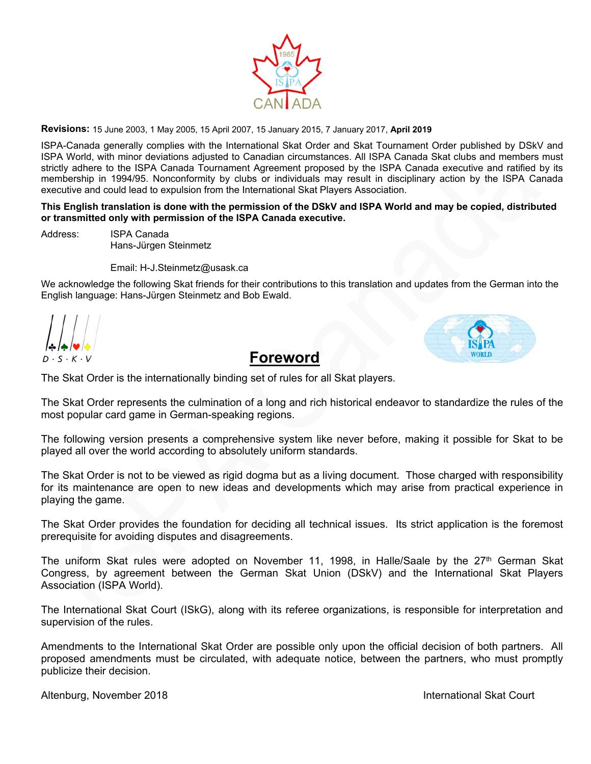

**Revisions:** 15 June 2003, 1 May 2005, 15 April 2007, 15 January 2015, 7 January 2017, **April 2019**

ISPA-Canada generally complies with the International Skat Order and Skat Tournament Order published by DSkV and ISPA World, with minor deviations adjusted to Canadian circumstances. All ISPA Canada Skat clubs and members must strictly adhere to the ISPA Canada Tournament Agreement proposed by the ISPA Canada executive and ratified by its membership in 1994/95. Nonconformity by clubs or individuals may result in disciplinary action by the ISPA Canada executive and could lead to expulsion from the International Skat Players Association.

#### **This English translation is done with the permission of the DSkV and ISPA World and may be copied, distributed or transmitted only with permission of the ISPA Canada executive.**

Address: ISPA Canada Hans-Jürgen Steinmetz

Email: H-J.Steinmetz@usask.ca

We acknowledge the following Skat friends for their contributions to this translation and updates from the German into the English language: Hans-Jürgen Steinmetz and Bob Ewald.



 **Foreword** 

The Skat Order is the internationally binding set of rules for all Skat players.

The Skat Order represents the culmination of a long and rich historical endeavor to standardize the rules of the most popular card game in German-speaking regions.

The following version presents a comprehensive system like never before, making it possible for Skat to be played all over the world according to absolutely uniform standards.

The Skat Order is not to be viewed as rigid dogma but as a living document. Those charged with responsibility for its maintenance are open to new ideas and developments which may arise from practical experience in playing the game.

The Skat Order provides the foundation for deciding all technical issues. Its strict application is the foremost prerequisite for avoiding disputes and disagreements.

The uniform Skat rules were adopted on November 11, 1998, in Halle/Saale by the 27<sup>th</sup> German Skat Congress, by agreement between the German Skat Union (DSkV) and the International Skat Players Association (ISPA World).

The International Skat Court (ISkG), along with its referee organizations, is responsible for interpretation and supervision of the rules.

Amendments to the International Skat Order are possible only upon the official decision of both partners. All proposed amendments must be circulated, with adequate notice, between the partners, who must promptly publicize their decision.

Altenburg, November 2018 **International Skat Court**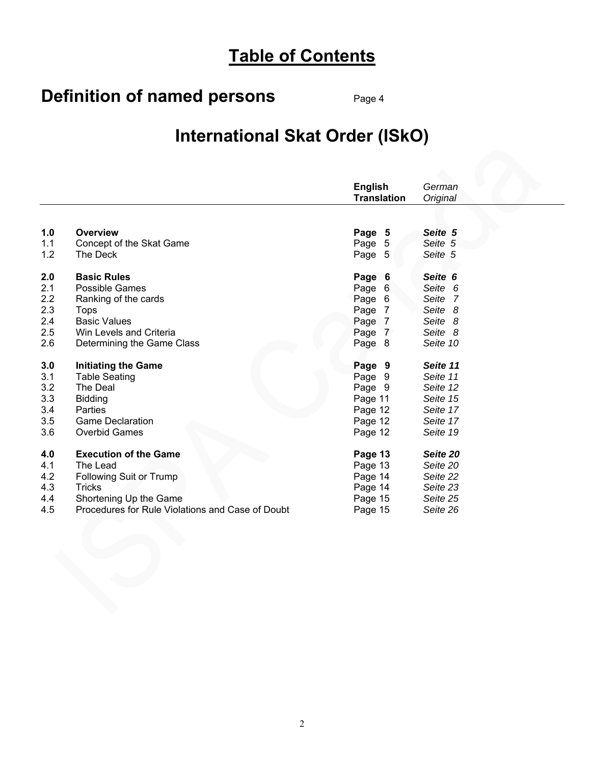# **Table of Contents**

# **Definition of named persons** Page 4

# **International Skat Order (ISkO)**

|     |                                                  | <b>English</b><br><b>Translation</b> | German<br>Original |
|-----|--------------------------------------------------|--------------------------------------|--------------------|
|     |                                                  |                                      |                    |
| 1.0 | Overview                                         | Page 5                               | Seite 5            |
| 1.1 | Concept of the Skat Game                         | Page 5                               | Seite 5            |
| 1.2 | The Deck                                         | Page 5                               | Seite 5            |
| 2.0 | <b>Basic Rules</b>                               | Page 6                               | Seite 6            |
| 2.1 | <b>Possible Games</b>                            | Page 6                               | Seite 6            |
| 2.2 | Ranking of the cards                             | Page 6                               | Seite 7            |
| 2.3 | <b>Tops</b>                                      | Page 7                               | Seite 8            |
| 2.4 | <b>Basic Values</b>                              | Page 7                               | Seite 8            |
| 2.5 | Win Levels and Criteria                          | Page 7                               | Seite 8            |
| 2.6 | Determining the Game Class                       | Page 8                               | Seite 10           |
| 3.0 | <b>Initiating the Game</b>                       | Page 9                               | Seite 11           |
| 3.1 | <b>Table Seating</b>                             | Page 9                               | Seite 11           |
| 3.2 | The Deal                                         | Page 9                               | Seite 12           |
| 3.3 | <b>Bidding</b>                                   | Page 11                              | Seite 15           |
| 3.4 | Parties                                          | Page 12                              | Seite 17           |
| 3.5 | <b>Game Declaration</b>                          | Page 12                              | Seite 17           |
| 3.6 | <b>Overbid Games</b>                             | Page 12                              | Seite 19           |
| 4.0 | <b>Execution of the Game</b>                     | Page 13                              | Seite 20           |
| 4.1 | The Lead                                         | Page 13                              | Seite 20           |
| 4.2 | Following Suit or Trump                          | Page 14                              | Seite 22           |
| 4.3 | <b>Tricks</b>                                    | Page 14                              | Seite 23           |
| 4.4 | Shortening Up the Game                           | Page 15                              | Seite 25           |
| 4.5 | Procedures for Rule Violations and Case of Doubt | Page 15                              | Seite 26           |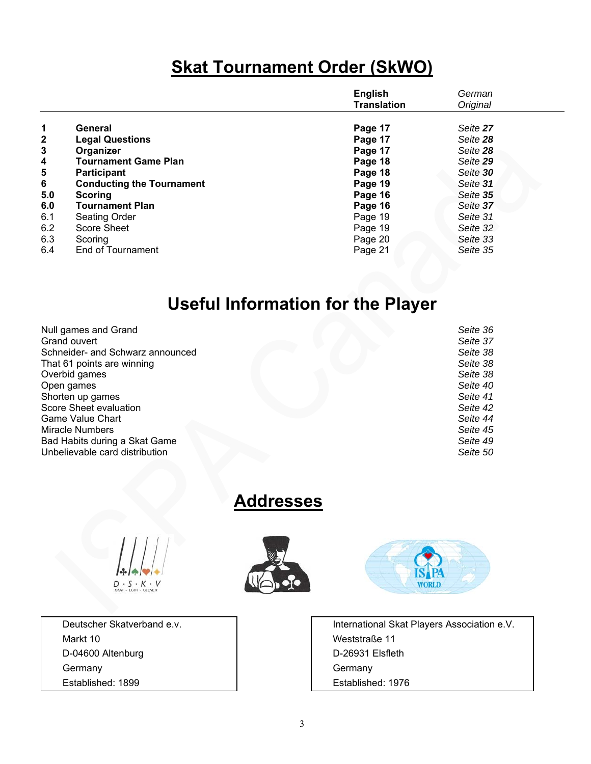# **Skat Tournament Order (SkWO)**

|     |                                  | <b>English</b><br><b>Translation</b> | German<br>Original |  |
|-----|----------------------------------|--------------------------------------|--------------------|--|
| 1   | General                          | Page 17                              | Seite 27           |  |
| 2   | <b>Legal Questions</b>           | Page 17                              | Seite 28           |  |
| 3   | Organizer                        | Page 17                              | Seite 28           |  |
| 4   | <b>Tournament Game Plan</b>      | Page 18                              | Seite 29           |  |
| 5   | <b>Participant</b>               | Page 18                              | Seite 30           |  |
| 6   | <b>Conducting the Tournament</b> | Page 19                              | Seite 31           |  |
| 5.0 | <b>Scoring</b>                   | Page 16                              | Seite 35           |  |
| 6.0 | <b>Tournament Plan</b>           | Page 16                              | Seite 37           |  |
| 6.1 | <b>Seating Order</b>             | Page 19                              | Seite 31           |  |
| 6.2 | Score Sheet                      | Page 19                              | Seite 32           |  |
| 6.3 | Scoring                          | Page 20                              | Seite 33           |  |
| 6.4 | <b>End of Tournament</b>         | Page 21                              | Seite 35           |  |

# **Useful Information for the Player**

| Null games and Grand             | Seite 36 |
|----------------------------------|----------|
| Grand ouvert                     | Seite 37 |
| Schneider- and Schwarz announced | Seite 38 |
| That 61 points are winning       | Seite 38 |
| Overbid games                    | Seite 38 |
| Open games                       | Seite 40 |
| Shorten up games                 | Seite 41 |
| Score Sheet evaluation           | Seite 42 |
| <b>Game Value Chart</b>          | Seite 44 |
| <b>Miracle Numbers</b>           | Seite 45 |
| Bad Habits during a Skat Game    | Seite 49 |
| Unbelievable card distribution   | Seite 50 |
|                                  |          |

# **Addresses**



 Markt 10 Weststraße 11 D-04600 Altenburg **D-04600 Altenburg** D-26931 Elsfleth Germany **Germany Germany Germany** Established: 1899 Established: 1976





Deutscher Skatverband e.v. **International Skat Players Association e.V.** International Skat Players Association e.V.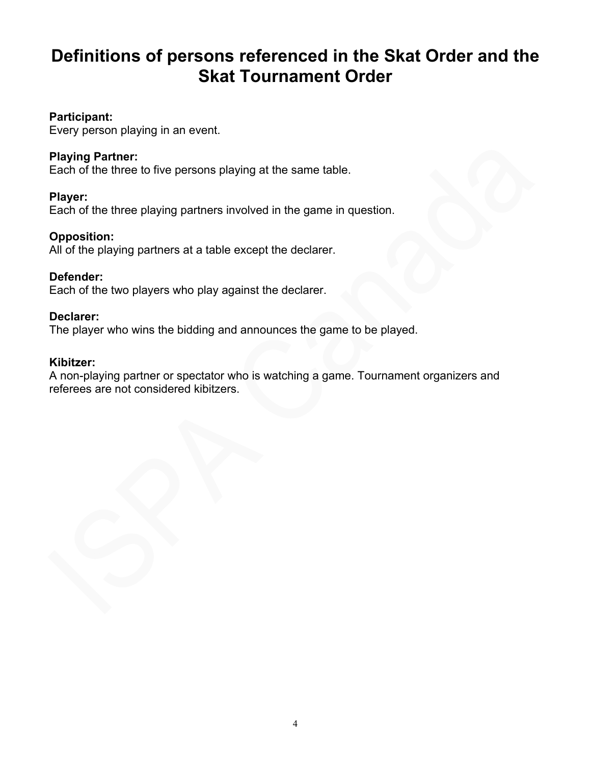# **Definitions of persons referenced in the Skat Order and the Skat Tournament Order**

#### **Participant:**

Every person playing in an event.

#### **Playing Partner:**

Each of the three to five persons playing at the same table.

#### **Player:**

Each of the three playing partners involved in the game in question.

#### **Opposition:**

All of the playing partners at a table except the declarer.

#### **Defender:**

Each of the two players who play against the declarer.

#### **Declarer:**

The player who wins the bidding and announces the game to be played.

#### **Kibitzer:**

A non-playing partner or spectator who is watching a game. Tournament organizers and referees are not considered kibitzers.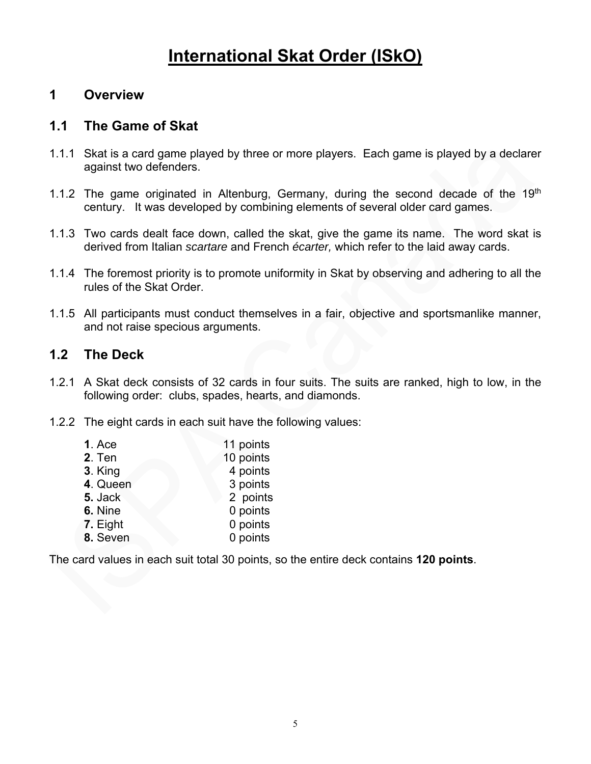# **International Skat Order (ISkO)**

## **1 Overview**

# **1.1 The Game of Skat**

- 1.1.1 Skat is a card game played by three or more players. Each game is played by a declarer against two defenders.
- 1.1.2 The game originated in Altenburg, Germany, during the second decade of the 19<sup>th</sup> century. It was developed by combining elements of several older card games.
- 1.1.3 Two cards dealt face down, called the skat, give the game its name. The word skat is derived from Italian *scartare* and French *écarter,* which refer to the laid away cards.
- 1.1.4 The foremost priority is to promote uniformity in Skat by observing and adhering to all the rules of the Skat Order.
- 1.1.5 All participants must conduct themselves in a fair, objective and sportsmanlike manner, and not raise specious arguments.

## **1.2 The Deck**

- 1.2.1 A Skat deck consists of 32 cards in four suits. The suits are ranked, high to low, in the following order: clubs, spades, hearts, and diamonds.
- 1.2.2 The eight cards in each suit have the following values:

| 1. Ace   | 11 points |
|----------|-----------|
| 2. Ten   | 10 points |
| 3. King  | 4 points  |
| 4. Queen | 3 points  |
| 5. Jack  | 2 points  |
| 6. Nine  | 0 points  |
| 7. Eight | 0 points  |
| 8. Seven | 0 points  |

The card values in each suit total 30 points, so the entire deck contains **120 points**.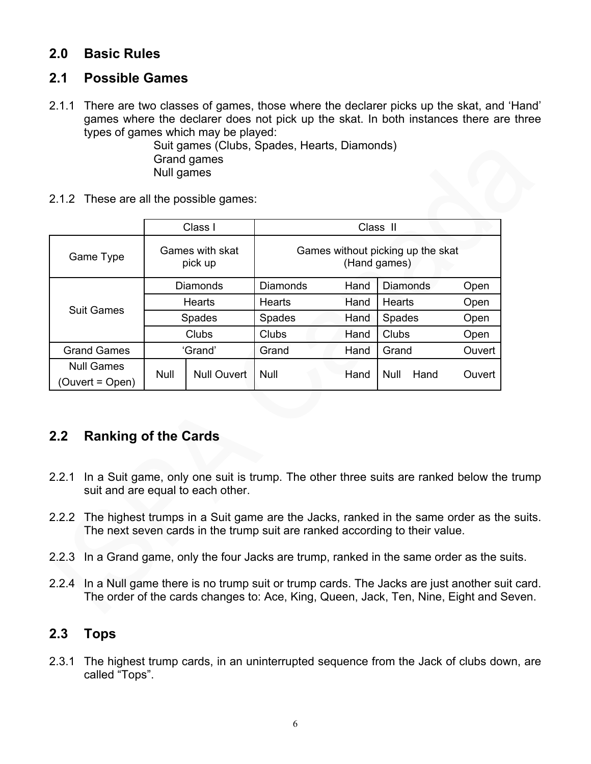## **2.0 Basic Rules**

## **2.1 Possible Games**

2.1.1 There are two classes of games, those where the declarer picks up the skat, and 'Hand' games where the declarer does not pick up the skat. In both instances there are three types of games which may be played:

 Suit games (Clubs, Spades, Hearts, Diamonds) Grand games Null games

2.1.2 These are all the possible games:

|                               |                            | Class I            | Class II                                          |       |                 |        |
|-------------------------------|----------------------------|--------------------|---------------------------------------------------|-------|-----------------|--------|
| Game Type                     | Games with skat<br>pick up |                    | Games without picking up the skat<br>(Hand games) |       |                 |        |
|                               |                            | Diamonds           | Diamonds                                          | Hand  | <b>Diamonds</b> | Open   |
| <b>Suit Games</b>             | <b>Hearts</b>              |                    | Hearts                                            | Hand  | Hearts          | Open   |
|                               | <b>Spades</b>              |                    | <b>Spades</b>                                     | Hand  | <b>Spades</b>   | Open   |
|                               | Clubs                      |                    | Clubs                                             | Hand  | Clubs           | Open   |
| <b>Grand Games</b><br>'Grand' |                            | Grand              | Hand                                              | Grand | Ouvert          |        |
| <b>Null Games</b>             | <b>Null</b>                | <b>Null Ouvert</b> | <b>Null</b>                                       | Hand  | Hand<br>Null    | Ouvert |
| (Ouvert = Open)               |                            |                    |                                                   |       |                 |        |

## **2.2 Ranking of the Cards**

- 2.2.1 In a Suit game, only one suit is trump. The other three suits are ranked below the trump suit and are equal to each other.
- 2.2.2 The highest trumps in a Suit game are the Jacks, ranked in the same order as the suits. The next seven cards in the trump suit are ranked according to their value.
- 2.2.3 In a Grand game, only the four Jacks are trump, ranked in the same order as the suits.
- 2.2.4 In a Null game there is no trump suit or trump cards. The Jacks are just another suit card. The order of the cards changes to: Ace, King, Queen, Jack, Ten, Nine, Eight and Seven.

## **2.3 Tops**

2.3.1 The highest trump cards, in an uninterrupted sequence from the Jack of clubs down, are called "Tops".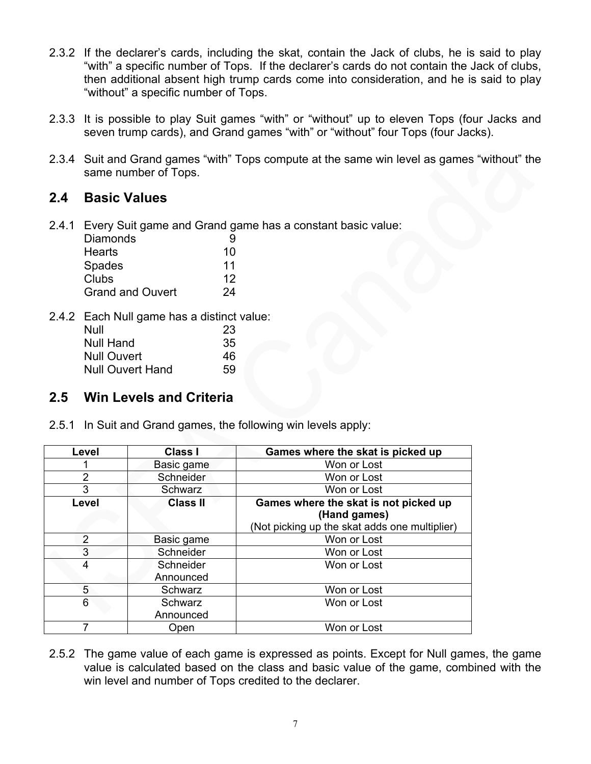- 2.3.2 If the declarer's cards, including the skat, contain the Jack of clubs, he is said to play "with" a specific number of Tops. If the declarer's cards do not contain the Jack of clubs, then additional absent high trump cards come into consideration, and he is said to play "without" a specific number of Tops.
- 2.3.3 It is possible to play Suit games "with" or "without" up to eleven Tops (four Jacks and seven trump cards), and Grand games "with" or "without" four Tops (four Jacks).
- 2.3.4 Suit and Grand games "with" Tops compute at the same win level as games "without" the same number of Tops.

### **2.4 Basic Values**

2.4.1 Every Suit game and Grand game has a constant basic value:

| Diamonds                |    |
|-------------------------|----|
| <b>Hearts</b>           | 10 |
| Spades                  | 11 |
| Clubs                   | 12 |
| <b>Grand and Ouvert</b> | 24 |

2.4.2 Each Null game has a distinct value:

| Null                    | 23 |
|-------------------------|----|
| Null Hand               | 35 |
| <b>Null Ouvert</b>      | 46 |
| <b>Null Ouvert Hand</b> | 59 |

## **2.5 Win Levels and Criteria**

2.5.1 In Suit and Grand games, the following win levels apply:

| Level           | <b>Class I</b>  | Games where the skat is picked up             |  |  |
|-----------------|-----------------|-----------------------------------------------|--|--|
| Basic game      |                 | Won or Lost                                   |  |  |
| $\overline{2}$  | Schneider       | Won or Lost                                   |  |  |
| 3               | Schwarz         | Won or Lost                                   |  |  |
| Level           | <b>Class II</b> | Games where the skat is not picked up         |  |  |
|                 |                 | (Hand games)                                  |  |  |
|                 |                 | (Not picking up the skat adds one multiplier) |  |  |
| 2<br>Basic game |                 | Won or Lost                                   |  |  |
| 3<br>Schneider  |                 | Won or Lost                                   |  |  |
| 4<br>Schneider  |                 | Won or Lost                                   |  |  |
|                 | Announced       |                                               |  |  |
| 5               | Schwarz         | Won or Lost                                   |  |  |
| 6<br>Schwarz    |                 | Won or Lost                                   |  |  |
|                 | Announced       |                                               |  |  |
|                 | Open            | Won or Lost                                   |  |  |

2.5.2 The game value of each game is expressed as points. Except for Null games, the game value is calculated based on the class and basic value of the game, combined with the win level and number of Tops credited to the declarer.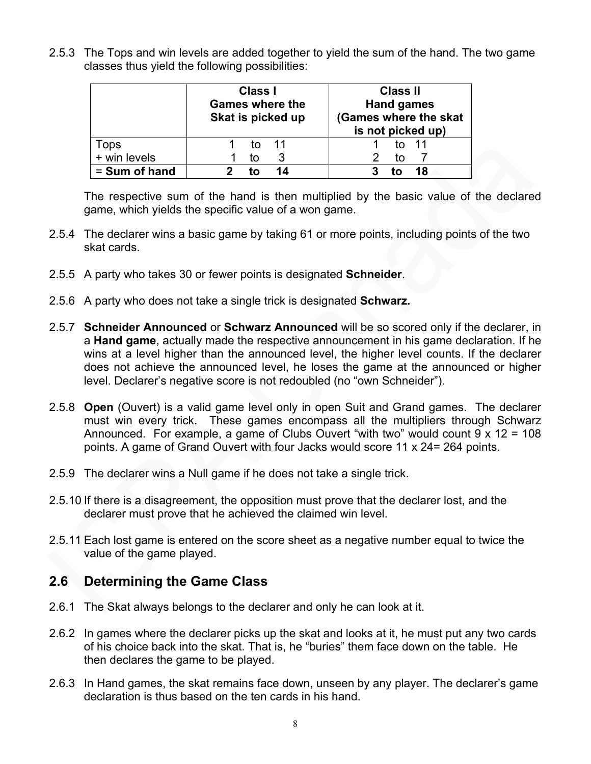2.5.3 The Tops and win levels are added together to yield the sum of the hand. The two game classes thus yield the following possibilities:

|               | <b>Class I</b><br><b>Games where the</b><br>Skat is picked up | <b>Class II</b><br><b>Hand games</b><br>(Games where the skat<br>is not picked up) |  |  |
|---------------|---------------------------------------------------------------|------------------------------------------------------------------------------------|--|--|
| Tops          | tΩ                                                            | to 11                                                                              |  |  |
| + win levels  | tο                                                            | tο                                                                                 |  |  |
| = Sum of hand | 14<br>тл                                                      | 18                                                                                 |  |  |

The respective sum of the hand is then multiplied by the basic value of the declared game, which yields the specific value of a won game.

- 2.5.4 The declarer wins a basic game by taking 61 or more points, including points of the two skat cards.
- 2.5.5 A party who takes 30 or fewer points is designated **Schneider**.
- 2.5.6 A party who does not take a single trick is designated **Schwarz.**
- 2.5.7 **Schneider Announced** or **Schwarz Announced** will be so scored only if the declarer, in a **Hand game**, actually made the respective announcement in his game declaration. If he wins at a level higher than the announced level, the higher level counts. If the declarer does not achieve the announced level, he loses the game at the announced or higher level. Declarer's negative score is not redoubled (no "own Schneider").
- 2.5.8 **Open** (Ouvert) is a valid game level only in open Suit and Grand games. The declarer must win every trick. These games encompass all the multipliers through Schwarz Announced. For example, a game of Clubs Ouvert "with two" would count 9 x 12 = 108 points. A game of Grand Ouvert with four Jacks would score 11 x 24= 264 points.
- 2.5.9 The declarer wins a Null game if he does not take a single trick.
- 2.5.10 If there is a disagreement, the opposition must prove that the declarer lost, and the declarer must prove that he achieved the claimed win level.
- 2.5.11 Each lost game is entered on the score sheet as a negative number equal to twice the value of the game played.

## **2.6 Determining the Game Class**

- 2.6.1 The Skat always belongs to the declarer and only he can look at it.
- 2.6.2 In games where the declarer picks up the skat and looks at it, he must put any two cards of his choice back into the skat. That is, he "buries" them face down on the table. He then declares the game to be played.
- 2.6.3 In Hand games, the skat remains face down, unseen by any player. The declarer's game declaration is thus based on the ten cards in his hand.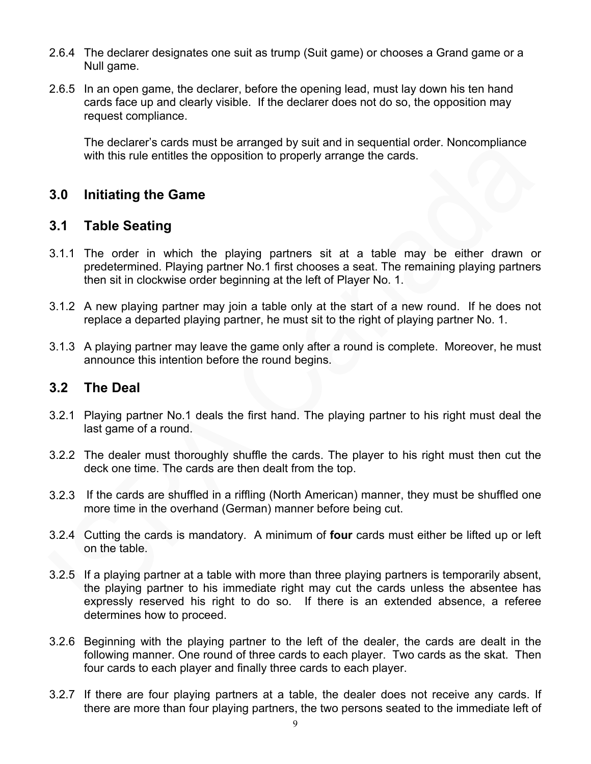- 2.6.4 The declarer designates one suit as trump (Suit game) or chooses a Grand game or a Null game.
- 2.6.5 In an open game, the declarer, before the opening lead, must lay down his ten hand cards face up and clearly visible. If the declarer does not do so, the opposition may request compliance.

 The declarer's cards must be arranged by suit and in sequential order. Noncompliance with this rule entitles the opposition to properly arrange the cards.

## **3.0 Initiating the Game**

#### **3.1 Table Seating**

- 3.1.1 The order in which the playing partners sit at a table may be either drawn or predetermined. Playing partner No.1 first chooses a seat. The remaining playing partners then sit in clockwise order beginning at the left of Player No. 1.
- 3.1.2 A new playing partner may join a table only at the start of a new round. If he does not replace a departed playing partner, he must sit to the right of playing partner No. 1.
- 3.1.3 A playing partner may leave the game only after a round is complete. Moreover, he must announce this intention before the round begins.

#### **3.2 The Deal**

- 3.2.1 Playing partner No.1 deals the first hand. The playing partner to his right must deal the last game of a round.
- 3.2.2 The dealer must thoroughly shuffle the cards. The player to his right must then cut the deck one time. The cards are then dealt from the top.
- 3.2.3 If the cards are shuffled in a riffling (North American) manner, they must be shuffled one more time in the overhand (German) manner before being cut.
- 3.2.4 Cutting the cards is mandatory. A minimum of **four** cards must either be lifted up or left on the table.
- 3.2.5 If a playing partner at a table with more than three playing partners is temporarily absent, the playing partner to his immediate right may cut the cards unless the absentee has expressly reserved his right to do so. If there is an extended absence, a referee determines how to proceed.
- 3.2.6 Beginning with the playing partner to the left of the dealer, the cards are dealt in the following manner. One round of three cards to each player. Two cards as the skat. Then four cards to each player and finally three cards to each player.
- 3.2.7 If there are four playing partners at a table, the dealer does not receive any cards. If there are more than four playing partners, the two persons seated to the immediate left of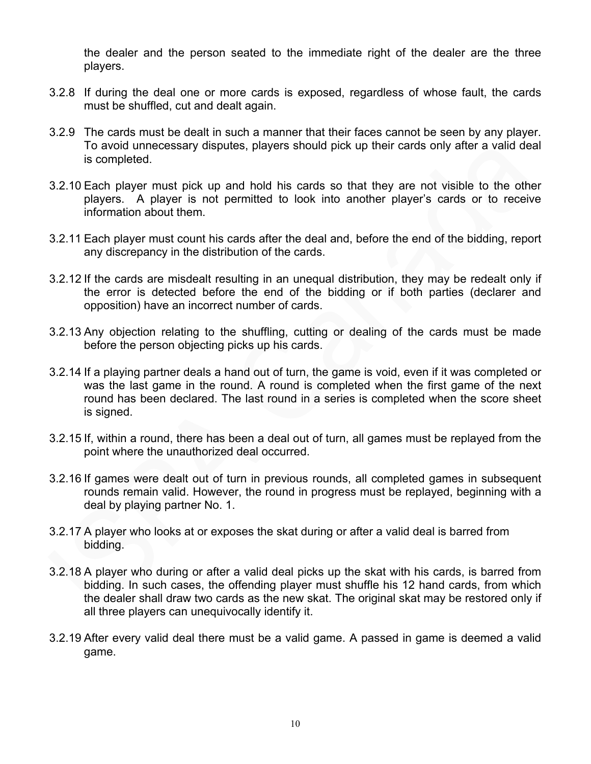the dealer and the person seated to the immediate right of the dealer are the three players.

- 3.2.8 If during the deal one or more cards is exposed, regardless of whose fault, the cards must be shuffled, cut and dealt again.
- 3.2.9 The cards must be dealt in such a manner that their faces cannot be seen by any player. To avoid unnecessary disputes, players should pick up their cards only after a valid deal is completed.
- 3.2.10 Each player must pick up and hold his cards so that they are not visible to the other players. A player is not permitted to look into another player's cards or to receive information about them.
- 3.2.11 Each player must count his cards after the deal and, before the end of the bidding, report any discrepancy in the distribution of the cards.
- 3.2.12 If the cards are misdealt resulting in an unequal distribution, they may be redealt only if the error is detected before the end of the bidding or if both parties (declarer and opposition) have an incorrect number of cards.
- 3.2.13 Any objection relating to the shuffling, cutting or dealing of the cards must be made before the person objecting picks up his cards.
- 3.2.14 If a playing partner deals a hand out of turn, the game is void, even if it was completed or was the last game in the round. A round is completed when the first game of the next round has been declared. The last round in a series is completed when the score sheet is signed.
- 3.2.15 If, within a round, there has been a deal out of turn, all games must be replayed from the point where the unauthorized deal occurred.
- 3.2.16 If games were dealt out of turn in previous rounds, all completed games in subsequent rounds remain valid. However, the round in progress must be replayed, beginning with a deal by playing partner No. 1.
- 3.2.17 A player who looks at or exposes the skat during or after a valid deal is barred from bidding.
- 3.2.18 A player who during or after a valid deal picks up the skat with his cards, is barred from bidding. In such cases, the offending player must shuffle his 12 hand cards, from which the dealer shall draw two cards as the new skat. The original skat may be restored only if all three players can unequivocally identify it.
- 3.2.19 After every valid deal there must be a valid game. A passed in game is deemed a valid game.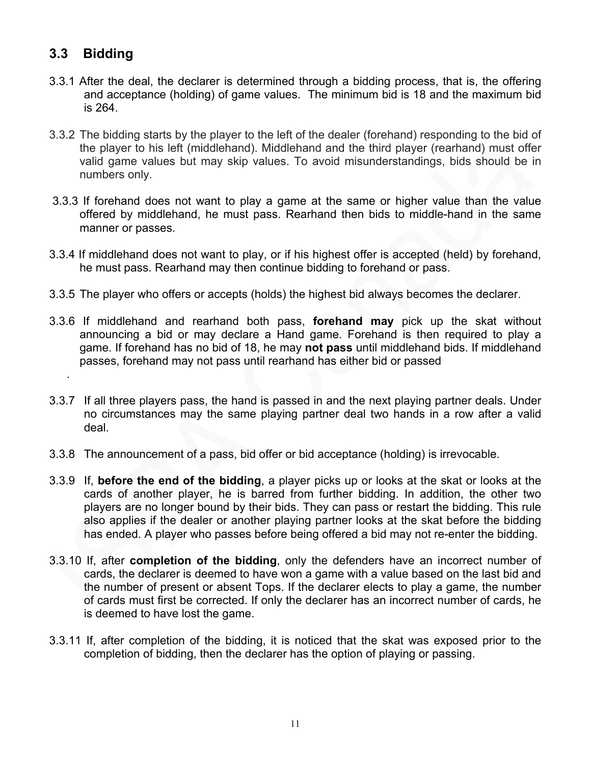# **3.3 Bidding**

.

- 3.3.1 After the deal, the declarer is determined through a bidding process, that is, the offering and acceptance (holding) of game values. The minimum bid is 18 and the maximum bid is 264.
- 3.3.2 The bidding starts by the player to the left of the dealer (forehand) responding to the bid of the player to his left (middlehand). Middlehand and the third player (rearhand) must offer valid game values but may skip values. To avoid misunderstandings, bids should be in numbers only.
- 3.3.3 If forehand does not want to play a game at the same or higher value than the value offered by middlehand, he must pass. Rearhand then bids to middle-hand in the same manner or passes.
- 3.3.4 If middlehand does not want to play, or if his highest offer is accepted (held) by forehand, he must pass. Rearhand may then continue bidding to forehand or pass.
- 3.3.5 The player who offers or accepts (holds) the highest bid always becomes the declarer.
- 3.3.6 If middlehand and rearhand both pass, **forehand may** pick up the skat without announcing a bid or may declare a Hand game. Forehand is then required to play a game. If forehand has no bid of 18, he may **not pass** until middlehand bids. If middlehand passes, forehand may not pass until rearhand has either bid or passed
- 3.3.7 If all three players pass, the hand is passed in and the next playing partner deals. Under no circumstances may the same playing partner deal two hands in a row after a valid deal.
- 3.3.8 The announcement of a pass, bid offer or bid acceptance (holding) is irrevocable.
- 3.3.9 If, **before the end of the bidding**, a player picks up or looks at the skat or looks at the cards of another player, he is barred from further bidding. In addition, the other two players are no longer bound by their bids. They can pass or restart the bidding. This rule also applies if the dealer or another playing partner looks at the skat before the bidding has ended. A player who passes before being offered a bid may not re-enter the bidding.
- 3.3.10 If, after **completion of the bidding**, only the defenders have an incorrect number of cards, the declarer is deemed to have won a game with a value based on the last bid and the number of present or absent Tops. If the declarer elects to play a game, the number of cards must first be corrected. If only the declarer has an incorrect number of cards, he is deemed to have lost the game.
- 3.3.11 If, after completion of the bidding, it is noticed that the skat was exposed prior to the completion of bidding, then the declarer has the option of playing or passing.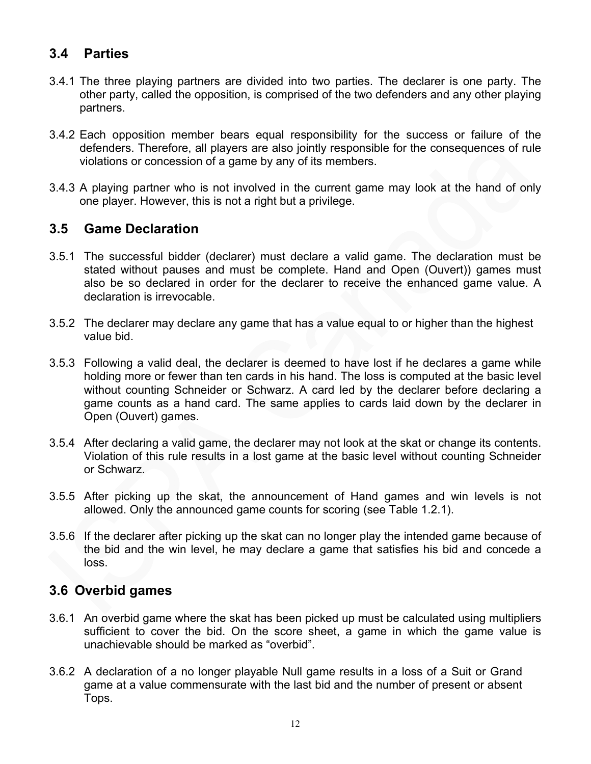# **3.4 Parties**

- 3.4.1 The three playing partners are divided into two parties. The declarer is one party. The other party, called the opposition, is comprised of the two defenders and any other playing partners.
- 3.4.2 Each opposition member bears equal responsibility for the success or failure of the defenders. Therefore, all players are also jointly responsible for the consequences of rule violations or concession of a game by any of its members.
- 3.4.3 A playing partner who is not involved in the current game may look at the hand of only one player. However, this is not a right but a privilege.

#### **3.5 Game Declaration**

- 3.5.1 The successful bidder (declarer) must declare a valid game. The declaration must be stated without pauses and must be complete. Hand and Open (Ouvert)) games must also be so declared in order for the declarer to receive the enhanced game value. A declaration is irrevocable.
- 3.5.2 The declarer may declare any game that has a value equal to or higher than the highest value bid.
- 3.5.3 Following a valid deal, the declarer is deemed to have lost if he declares a game while holding more or fewer than ten cards in his hand. The loss is computed at the basic level without counting Schneider or Schwarz. A card led by the declarer before declaring a game counts as a hand card. The same applies to cards laid down by the declarer in Open (Ouvert) games.
- 3.5.4 After declaring a valid game, the declarer may not look at the skat or change its contents. Violation of this rule results in a lost game at the basic level without counting Schneider or Schwarz.
- 3.5.5 After picking up the skat, the announcement of Hand games and win levels is not allowed. Only the announced game counts for scoring (see Table 1.2.1).
- 3.5.6 If the declarer after picking up the skat can no longer play the intended game because of the bid and the win level, he may declare a game that satisfies his bid and concede a loss.

#### **3.6 Overbid games**

- 3.6.1 An overbid game where the skat has been picked up must be calculated using multipliers sufficient to cover the bid. On the score sheet, a game in which the game value is unachievable should be marked as "overbid".
- 3.6.2 A declaration of a no longer playable Null game results in a loss of a Suit or Grand game at a value commensurate with the last bid and the number of present or absent Tops.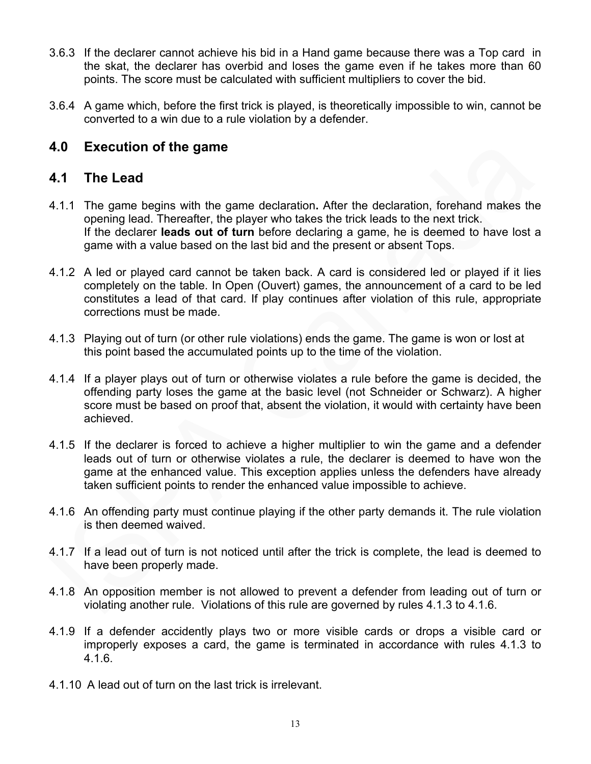- 3.6.3 If the declarer cannot achieve his bid in a Hand game because there was a Top card in the skat, the declarer has overbid and loses the game even if he takes more than 60 points. The score must be calculated with sufficient multipliers to cover the bid.
- 3.6.4 A game which, before the first trick is played, is theoretically impossible to win, cannot be converted to a win due to a rule violation by a defender.

## **4.0 Execution of the game**

### **4.1 The Lead**

- 4.1.1 The game begins with the game declaration**.** After the declaration, forehand makes the opening lead. Thereafter, the player who takes the trick leads to the next trick. If the declarer **leads out of turn** before declaring a game, he is deemed to have lost a game with a value based on the last bid and the present or absent Tops.
- 4.1.2 A led or played card cannot be taken back. A card is considered led or played if it lies completely on the table. In Open (Ouvert) games, the announcement of a card to be led constitutes a lead of that card. If play continues after violation of this rule, appropriate corrections must be made.
- 4.1.3 Playing out of turn (or other rule violations) ends the game. The game is won or lost at this point based the accumulated points up to the time of the violation.
- 4.1.4 If a player plays out of turn or otherwise violates a rule before the game is decided, the offending party loses the game at the basic level (not Schneider or Schwarz). A higher score must be based on proof that, absent the violation, it would with certainty have been achieved.
- 4.1.5 If the declarer is forced to achieve a higher multiplier to win the game and a defender leads out of turn or otherwise violates a rule, the declarer is deemed to have won the game at the enhanced value. This exception applies unless the defenders have already taken sufficient points to render the enhanced value impossible to achieve.
- 4.1.6 An offending party must continue playing if the other party demands it. The rule violation is then deemed waived.
- 4.1.7 If a lead out of turn is not noticed until after the trick is complete, the lead is deemed to have been properly made.
- 4.1.8 An opposition member is not allowed to prevent a defender from leading out of turn or violating another rule. Violations of this rule are governed by rules 4.1.3 to 4.1.6.
- 4.1.9 If a defender accidently plays two or more visible cards or drops a visible card or improperly exposes a card, the game is terminated in accordance with rules 4.1.3 to 4.1.6.
- 4.1.10 A lead out of turn on the last trick is irrelevant.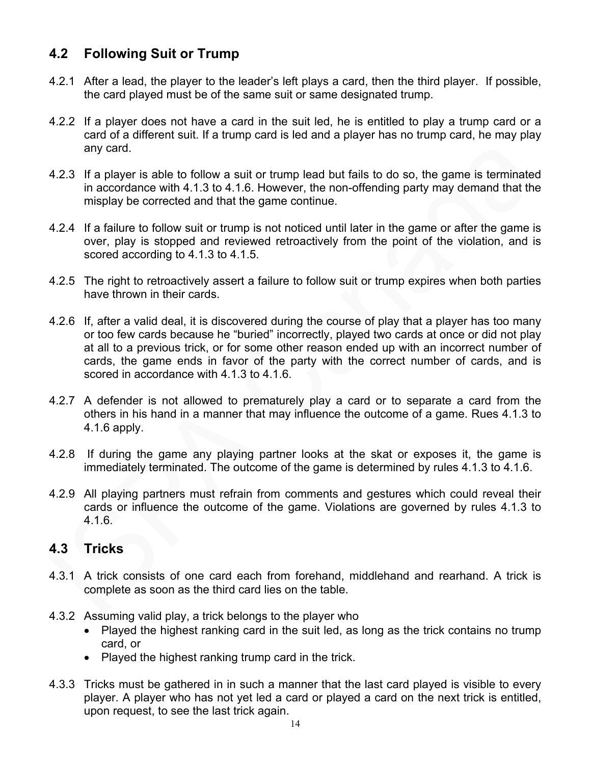# **4.2 Following Suit or Trump**

- 4.2.1 After a lead, the player to the leader's left plays a card, then the third player. If possible, the card played must be of the same suit or same designated trump.
- 4.2.2 If a player does not have a card in the suit led, he is entitled to play a trump card or a card of a different suit. If a trump card is led and a player has no trump card, he may play any card.
- 4.2.3 If a player is able to follow a suit or trump lead but fails to do so, the game is terminated in accordance with 4.1.3 to 4.1.6. However, the non-offending party may demand that the misplay be corrected and that the game continue.
- 4.2.4 If a failure to follow suit or trump is not noticed until later in the game or after the game is over, play is stopped and reviewed retroactively from the point of the violation, and is scored according to 4.1.3 to 4.1.5.
- 4.2.5 The right to retroactively assert a failure to follow suit or trump expires when both parties have thrown in their cards.
- 4.2.6 If, after a valid deal, it is discovered during the course of play that a player has too many or too few cards because he "buried" incorrectly, played two cards at once or did not play at all to a previous trick, or for some other reason ended up with an incorrect number of cards, the game ends in favor of the party with the correct number of cards, and is scored in accordance with 4.1.3 to 4.1.6.
- 4.2.7 A defender is not allowed to prematurely play a card or to separate a card from the others in his hand in a manner that may influence the outcome of a game. Rues 4.1.3 to 4.1.6 apply.
- 4.2.8 If during the game any playing partner looks at the skat or exposes it, the game is immediately terminated. The outcome of the game is determined by rules 4.1.3 to 4.1.6.
- 4.2.9 All playing partners must refrain from comments and gestures which could reveal their cards or influence the outcome of the game. Violations are governed by rules 4.1.3 to 4.1.6.

## **4.3 Tricks**

- 4.3.1 A trick consists of one card each from forehand, middlehand and rearhand. A trick is complete as soon as the third card lies on the table.
- 4.3.2 Assuming valid play, a trick belongs to the player who
	- Played the highest ranking card in the suit led, as long as the trick contains no trump card, or
	- Played the highest ranking trump card in the trick.
- 4.3.3 Tricks must be gathered in in such a manner that the last card played is visible to every player. A player who has not yet led a card or played a card on the next trick is entitled, upon request, to see the last trick again.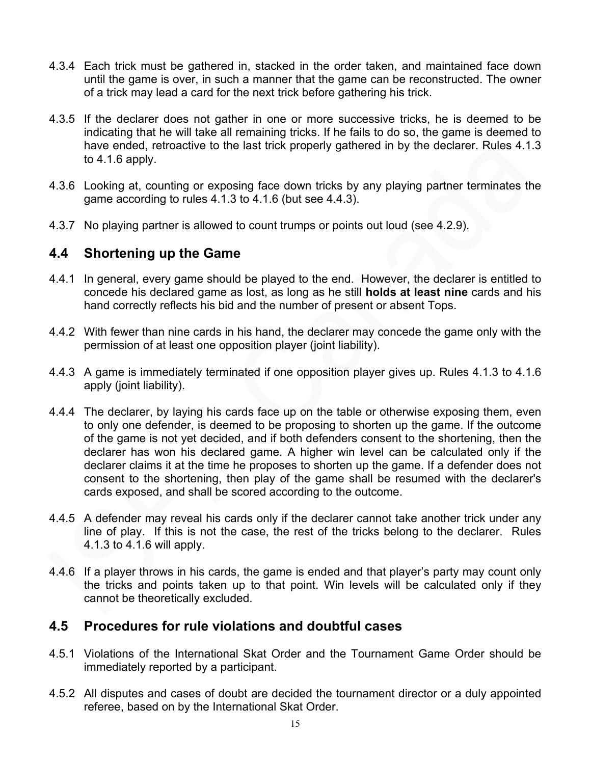- 4.3.4 Each trick must be gathered in, stacked in the order taken, and maintained face down until the game is over, in such a manner that the game can be reconstructed. The owner of a trick may lead a card for the next trick before gathering his trick.
- 4.3.5 If the declarer does not gather in one or more successive tricks, he is deemed to be indicating that he will take all remaining tricks. If he fails to do so, the game is deemed to have ended, retroactive to the last trick properly gathered in by the declarer. Rules 4.1.3 to 4.1.6 apply.
- 4.3.6 Looking at, counting or exposing face down tricks by any playing partner terminates the game according to rules 4.1.3 to 4.1.6 (but see 4.4.3).
- 4.3.7 No playing partner is allowed to count trumps or points out loud (see 4.2.9).

#### **4.4 Shortening up the Game**

- 4.4.1 In general, every game should be played to the end. However, the declarer is entitled to concede his declared game as lost, as long as he still **holds at least nine** cards and his hand correctly reflects his bid and the number of present or absent Tops.
- 4.4.2 With fewer than nine cards in his hand, the declarer may concede the game only with the permission of at least one opposition player (joint liability).
- 4.4.3 A game is immediately terminated if one opposition player gives up. Rules 4.1.3 to 4.1.6 apply (joint liability).
- 4.4.4 The declarer, by laying his cards face up on the table or otherwise exposing them, even to only one defender, is deemed to be proposing to shorten up the game. If the outcome of the game is not yet decided, and if both defenders consent to the shortening, then the declarer has won his declared game. A higher win level can be calculated only if the declarer claims it at the time he proposes to shorten up the game. If a defender does not consent to the shortening, then play of the game shall be resumed with the declarer's cards exposed, and shall be scored according to the outcome.
- 4.4.5 A defender may reveal his cards only if the declarer cannot take another trick under any line of play. If this is not the case, the rest of the tricks belong to the declarer. Rules 4.1.3 to 4.1.6 will apply.
- 4.4.6 If a player throws in his cards, the game is ended and that player's party may count only the tricks and points taken up to that point. Win levels will be calculated only if they cannot be theoretically excluded.

#### **4.5 Procedures for rule violations and doubtful cases**

- 4.5.1 Violations of the International Skat Order and the Tournament Game Order should be immediately reported by a participant.
- 4.5.2 All disputes and cases of doubt are decided the tournament director or a duly appointed referee, based on by the International Skat Order.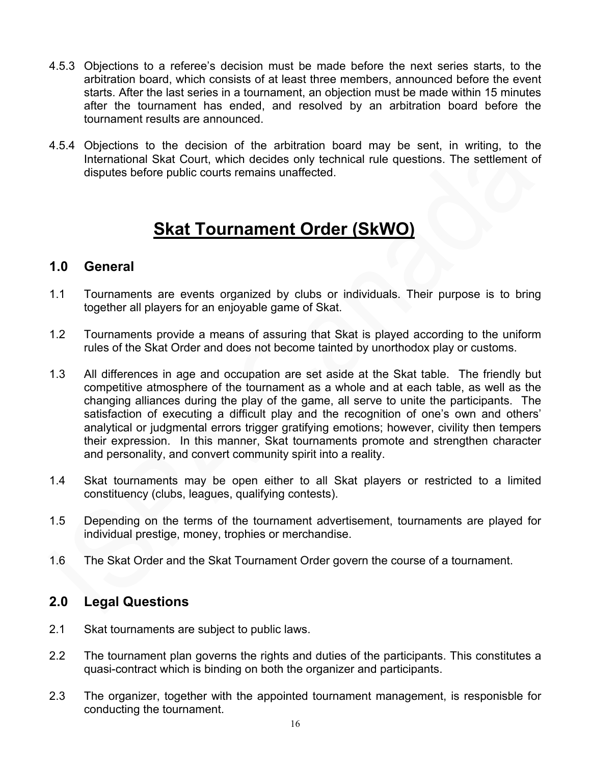- 4.5.3 Objections to a referee's decision must be made before the next series starts, to the arbitration board, which consists of at least three members, announced before the event starts. After the last series in a tournament, an objection must be made within 15 minutes after the tournament has ended, and resolved by an arbitration board before the tournament results are announced.
- 4.5.4 Objections to the decision of the arbitration board may be sent, in writing, to the International Skat Court, which decides only technical rule questions. The settlement of disputes before public courts remains unaffected.

# **Skat Tournament Order (SkWO)**

### **1.0 General**

- 1.1 Tournaments are events organized by clubs or individuals. Their purpose is to bring together all players for an enjoyable game of Skat.
- 1.2 Tournaments provide a means of assuring that Skat is played according to the uniform rules of the Skat Order and does not become tainted by unorthodox play or customs.
- 1.3 All differences in age and occupation are set aside at the Skat table. The friendly but competitive atmosphere of the tournament as a whole and at each table, as well as the changing alliances during the play of the game, all serve to unite the participants. The satisfaction of executing a difficult play and the recognition of one's own and others' analytical or judgmental errors trigger gratifying emotions; however, civility then tempers their expression. In this manner, Skat tournaments promote and strengthen character and personality, and convert community spirit into a reality.
- 1.4 Skat tournaments may be open either to all Skat players or restricted to a limited constituency (clubs, leagues, qualifying contests).
- 1.5 Depending on the terms of the tournament advertisement, tournaments are played for individual prestige, money, trophies or merchandise.
- 1.6 The Skat Order and the Skat Tournament Order govern the course of a tournament.

## **2.0 Legal Questions**

- 2.1 Skat tournaments are subject to public laws.
- 2.2 The tournament plan governs the rights and duties of the participants. This constitutes a quasi-contract which is binding on both the organizer and participants.
- 2.3 The organizer, together with the appointed tournament management, is responisble for conducting the tournament.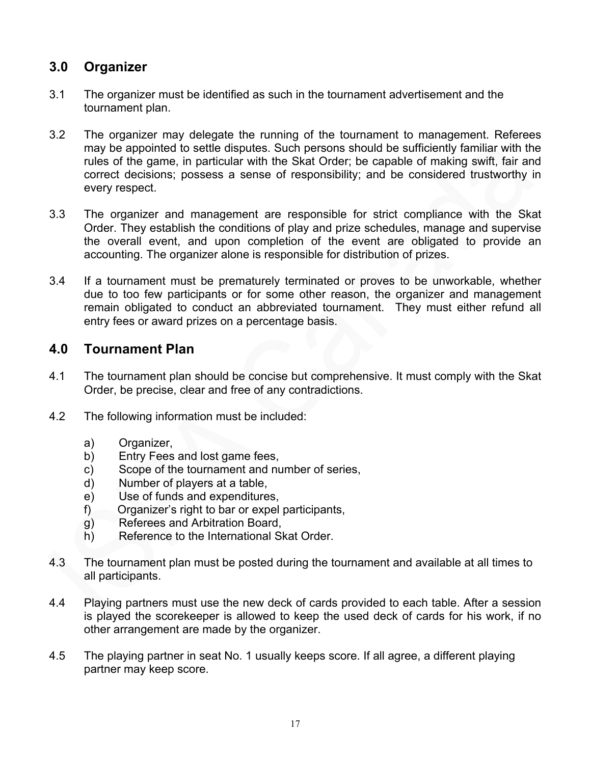## **3.0 Organizer**

- 3.1 The organizer must be identified as such in the tournament advertisement and the tournament plan.
- 3.2 The organizer may delegate the running of the tournament to management. Referees may be appointed to settle disputes. Such persons should be sufficiently familiar with the rules of the game, in particular with the Skat Order; be capable of making swift, fair and correct decisions; possess a sense of responsibility; and be considered trustworthy in every respect.
- 3.3 The organizer and management are responsible for strict compliance with the Skat Order. They establish the conditions of play and prize schedules, manage and supervise the overall event, and upon completion of the event are obligated to provide an accounting. The organizer alone is responsible for distribution of prizes.
- 3.4 If a tournament must be prematurely terminated or proves to be unworkable, whether due to too few participants or for some other reason, the organizer and management remain obligated to conduct an abbreviated tournament. They must either refund all entry fees or award prizes on a percentage basis.

## **4.0 Tournament Plan**

- 4.1 The tournament plan should be concise but comprehensive. It must comply with the Skat Order, be precise, clear and free of any contradictions.
- 4.2 The following information must be included:
	- a) Organizer,
	- b) Entry Fees and lost game fees,
	- c) Scope of the tournament and number of series,
	- d) Number of players at a table,
	- e) Use of funds and expenditures,
	- f) Organizer's right to bar or expel participants,
	- g) Referees and Arbitration Board,
	- h) Reference to the International Skat Order.
- 4.3 The tournament plan must be posted during the tournament and available at all times to all participants.
- 4.4 Playing partners must use the new deck of cards provided to each table. After a session is played the scorekeeper is allowed to keep the used deck of cards for his work, if no other arrangement are made by the organizer.
- 4.5 The playing partner in seat No. 1 usually keeps score. If all agree, a different playing partner may keep score.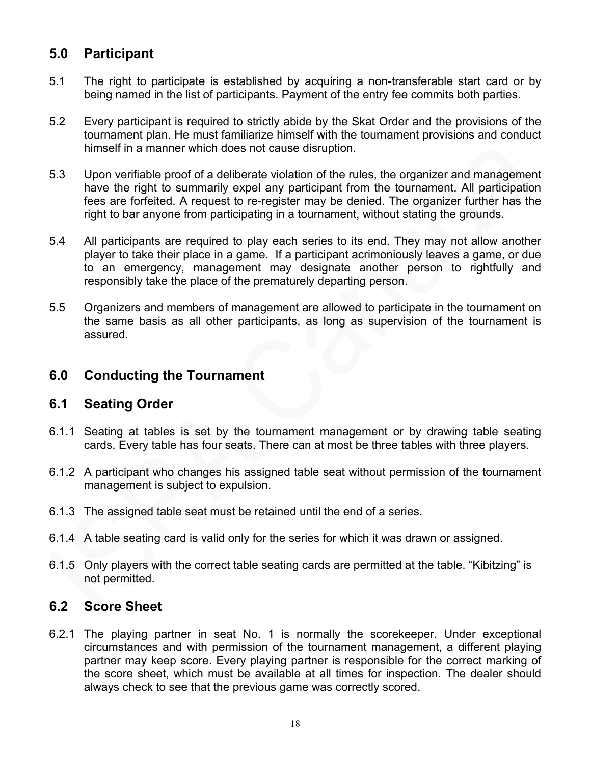# **5.0 Participant**

- 5.1 The right to participate is established by acquiring a non-transferable start card or by being named in the list of participants. Payment of the entry fee commits both parties.
- 5.2 Every participant is required to strictly abide by the Skat Order and the provisions of the tournament plan. He must familiarize himself with the tournament provisions and conduct himself in a manner which does not cause disruption.
- 5.3 Upon verifiable proof of a deliberate violation of the rules, the organizer and management have the right to summarily expel any participant from the tournament. All participation fees are forfeited. A request to re-register may be denied. The organizer further has the right to bar anyone from participating in a tournament, without stating the grounds.
- 5.4 All participants are required to play each series to its end. They may not allow another player to take their place in a game. If a participant acrimoniously leaves a game, or due to an emergency, management may designate another person to rightfully and responsibly take the place of the prematurely departing person.
- 5.5 Organizers and members of management are allowed to participate in the tournament on the same basis as all other participants, as long as supervision of the tournament is assured.

### **6.0 Conducting the Tournament**

#### **6.1 Seating Order**

- 6.1.1 Seating at tables is set by the tournament management or by drawing table seating cards. Every table has four seats. There can at most be three tables with three players.
- 6.1.2 A participant who changes his assigned table seat without permission of the tournament management is subject to expulsion.
- 6.1.3 The assigned table seat must be retained until the end of a series.
- 6.1.4 A table seating card is valid only for the series for which it was drawn or assigned.
- 6.1.5 Only players with the correct table seating cards are permitted at the table. "Kibitzing" is not permitted.

### **6.2 Score Sheet**

6.2.1 The playing partner in seat No. 1 is normally the scorekeeper. Under exceptional circumstances and with permission of the tournament management, a different playing partner may keep score. Every playing partner is responsible for the correct marking of the score sheet, which must be available at all times for inspection. The dealer should always check to see that the previous game was correctly scored.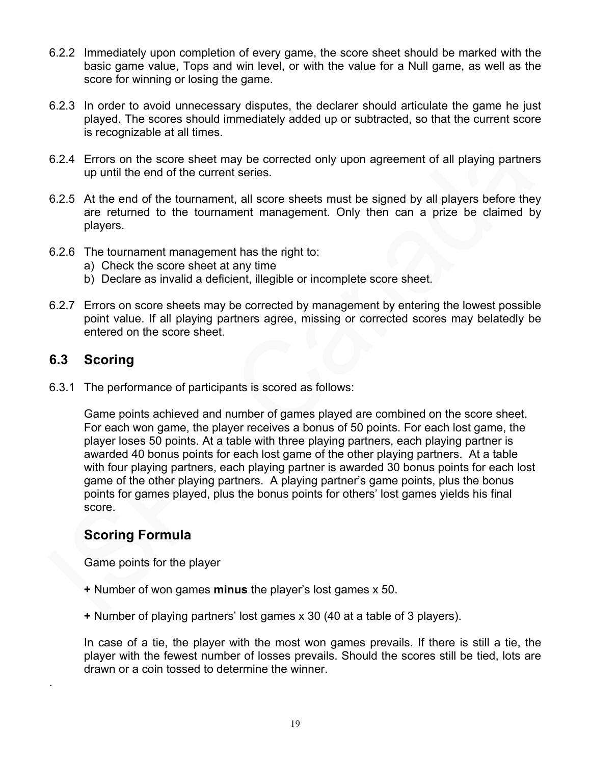- 6.2.2 Immediately upon completion of every game, the score sheet should be marked with the basic game value, Tops and win level, or with the value for a Null game, as well as the score for winning or losing the game.
- 6.2.3 In order to avoid unnecessary disputes, the declarer should articulate the game he just played. The scores should immediately added up or subtracted, so that the current score is recognizable at all times.
- 6.2.4 Errors on the score sheet may be corrected only upon agreement of all playing partners up until the end of the current series.
- 6.2.5 At the end of the tournament, all score sheets must be signed by all players before they are returned to the tournament management. Only then can a prize be claimed by players.
- 6.2.6 The tournament management has the right to:
	- a) Check the score sheet at any time
	- b) Declare as invalid a deficient, illegible or incomplete score sheet.
- 6.2.7 Errors on score sheets may be corrected by management by entering the lowest possible point value. If all playing partners agree, missing or corrected scores may belatedly be entered on the score sheet.

#### **6.3 Scoring**

.

6.3.1 The performance of participants is scored as follows:

Game points achieved and number of games played are combined on the score sheet. For each won game, the player receives a bonus of 50 points. For each lost game, the player loses 50 points. At a table with three playing partners, each playing partner is awarded 40 bonus points for each lost game of the other playing partners. At a table with four playing partners, each playing partner is awarded 30 bonus points for each lost game of the other playing partners. A playing partner's game points, plus the bonus points for games played, plus the bonus points for others' lost games yields his final score.

#### **Scoring Formula**

Game points for the player

- **+** Number of won games **minus** the player's lost games x 50.
- **+** Number of playing partners' lost games x 30 (40 at a table of 3 players).

In case of a tie, the player with the most won games prevails. If there is still a tie, the player with the fewest number of losses prevails. Should the scores still be tied, lots are drawn or a coin tossed to determine the winner.